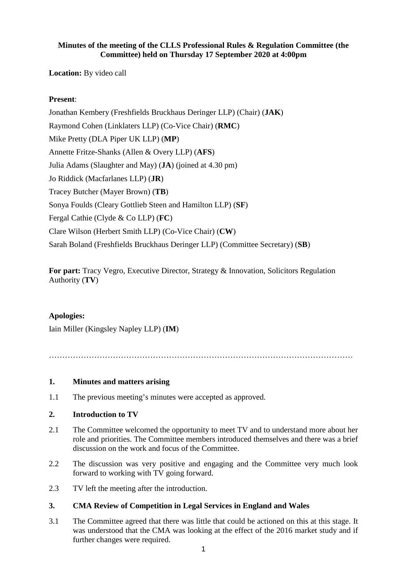## **Minutes of the meeting of the CLLS Professional Rules & Regulation Committee (the Committee) held on Thursday 17 September 2020 at 4:00pm**

**Location:** By video call

# **Present**:

Jonathan Kembery (Freshfields Bruckhaus Deringer LLP) (Chair) (**JAK**) Raymond Cohen (Linklaters LLP) (Co-Vice Chair) (**RMC**) Mike Pretty (DLA Piper UK LLP) (**MP**) Annette Fritze-Shanks (Allen & Overy LLP) (**AFS**) Julia Adams (Slaughter and May) (**JA**) (joined at 4.30 pm) Jo Riddick (Macfarlanes LLP) (**JR**) Tracey Butcher (Mayer Brown) (**TB**) Sonya Foulds (Cleary Gottlieb Steen and Hamilton LLP) (**SF**) Fergal Cathie (Clyde & Co LLP) (**FC**) Clare Wilson (Herbert Smith LLP) (Co-Vice Chair) (**CW**) Sarah Boland (Freshfields Bruckhaus Deringer LLP) (Committee Secretary) (**SB**)

**For part:** Tracy Vegro, Executive Director, Strategy & Innovation, Solicitors Regulation Authority (**TV**)

#### **Apologies:**

Iain Miller (Kingsley Napley LLP) (**IM**)

……………………………………………………………………………………………………

#### **1. Minutes and matters arising**

1.1 The previous meeting's minutes were accepted as approved.

#### **2. Introduction to TV**

- 2.1 The Committee welcomed the opportunity to meet TV and to understand more about her role and priorities. The Committee members introduced themselves and there was a brief discussion on the work and focus of the Committee.
- 2.2 The discussion was very positive and engaging and the Committee very much look forward to working with TV going forward.
- 2.3 TV left the meeting after the introduction.

#### **3. CMA Review of Competition in Legal Services in England and Wales**

3.1 The Committee agreed that there was little that could be actioned on this at this stage. It was understood that the CMA was looking at the effect of the 2016 market study and if further changes were required.